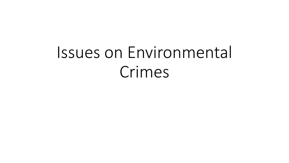# Issues on Environmental Crimes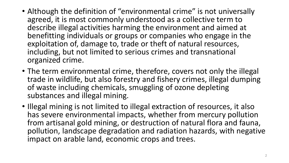- Although the definition of "environmental crime" is not universally agreed, it is most commonly understood as a collective term to describe illegal activities harming the environment and aimed at benefitting individuals or groups or companies who engage in the exploitation of, damage to, trade or theft of natural resources, including, but not limited to serious crimes and transnational organized crime.
- The term environmental crime, therefore, covers not only the illegal trade in wildlife, but also forestry and fishery crimes, illegal dumping of waste including chemicals, smuggling of ozone depleting substances and illegal mining.
- Illegal mining is not limited to illegal extraction of resources, it also has severe environmental impacts, whether from mercury pollution from artisanal gold mining, or destruction of natural flora and fauna, pollution, landscape degradation and radiation hazards, with negative impact on arable land, economic crops and trees.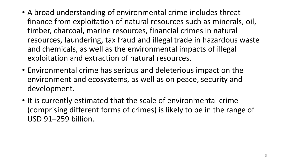- A broad understanding of environmental crime includes threat finance from exploitation of natural resources such as minerals, oil, timber, charcoal, marine resources, financial crimes in natural resources, laundering, tax fraud and illegal trade in hazardous waste and chemicals, as well as the environmental impacts of illegal exploitation and extraction of natural resources.
- Environmental crime has serious and deleterious impact on the environment and ecosystems, as well as on peace, security and development.
- It is currently estimated that the scale of environmental crime (comprising different forms of crimes) is likely to be in the range of USD 91–259 billion.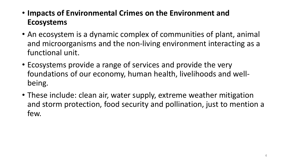- **Impacts of Environmental Crimes on the Environment and Ecosystems**
- An ecosystem is a dynamic complex of communities of plant, animal and microorganisms and the non-living environment interacting as a functional unit.
- Ecosystems provide a range of services and provide the very foundations of our economy, human health, livelihoods and wellbeing.
- These include: clean air, water supply, extreme weather mitigation and storm protection, food security and pollination, just to mention a few.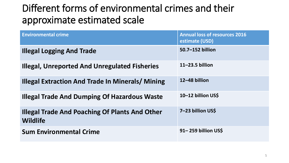# Different forms of environmental crimes and their approximate estimated scale

| <b>Environmental crime</b>                                               | <b>Annual loss of resources 2016</b><br>estimate (USD) |
|--------------------------------------------------------------------------|--------------------------------------------------------|
| <b>Illegal Logging And Trade</b>                                         | 50.7-152 billion                                       |
| <b>Illegal, Unreported And Unregulated Fisheries</b>                     | $11 - 23.5$ billion                                    |
| <b>Illegal Extraction And Trade In Minerals/ Mining</b>                  | 12-48 billion                                          |
| <b>Illegal Trade And Dumping Of Hazardous Waste</b>                      | 10-12 billion US\$                                     |
| <b>Illegal Trade And Poaching Of Plants And Other</b><br><b>Wildlife</b> | 7-23 billion US\$                                      |
| <b>Sum Environmental Crime</b>                                           | 91-259 billion US\$                                    |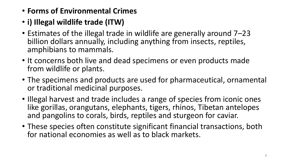- **Forms of Environmental Crimes**
- **i) Illegal wildlife trade (ITW)**
- Estimates of the illegal trade in wildlife are generally around 7–23 billion dollars annually, including anything from insects, reptiles, amphibians to mammals.
- It concerns both live and dead specimens or even products made from wildlife or plants.
- The specimens and products are used for pharmaceutical, ornamental or traditional medicinal purposes.
- Illegal harvest and trade includes a range of species from iconic ones like gorillas, orangutans, elephants, tigers, rhinos, Tibetan antelopes and pangolins to corals, birds, reptiles and sturgeon for caviar.
- These species often constitute significant financial transactions, both for national economies as well as to black markets.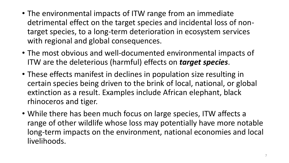- The environmental impacts of ITW range from an immediate detrimental effect on the target species and incidental loss of nontarget species, to a long-term deterioration in ecosystem services with regional and global consequences.
- The most obvious and well-documented environmental impacts of ITW are the deleterious (harmful) effects on *target species*.
- These effects manifest in declines in population size resulting in certain species being driven to the brink of local, national, or global extinction as a result. Examples include African elephant, black rhinoceros and tiger.
- While there has been much focus on large species, ITW affects a range of other wildlife whose loss may potentially have more notable long-term impacts on the environment, national economies and local livelihoods.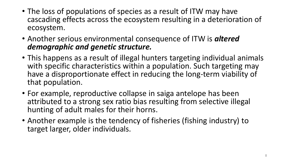- The loss of populations of species as a result of ITW may have cascading effects across the ecosystem resulting in a deterioration of ecosystem.
- Another serious environmental consequence of ITW is *altered demographic and genetic structure.*
- This happens as a result of illegal hunters targeting individual animals with specific characteristics within a population. Such targeting may have a disproportionate effect in reducing the long-term viability of that population.
- For example, reproductive collapse in saiga antelope has been attributed to a strong sex ratio bias resulting from selective illegal hunting of adult males for their horns.
- Another example is the tendency of fisheries (fishing industry) to target larger, older individuals.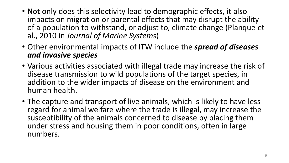- Not only does this selectivity lead to demographic effects, it also impacts on migration or parental effects that may disrupt the ability of a population to withstand, or adjust to, climate change (Planque et al., 2010 in *Journal of Marine Systems*)
- Other environmental impacts of ITW include the *spread of diseases and invasive species*
- Various activities associated with illegal trade may increase the risk of disease transmission to wild populations of the target species, in addition to the wider impacts of disease on the environment and human health.
- The capture and transport of live animals, which is likely to have less regard for animal welfare where the trade is illegal, may increase the susceptibility of the animals concerned to disease by placing them under stress and housing them in poor conditions, often in large numbers.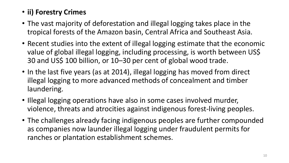### • **ii) Forestry Crimes**

- The vast majority of deforestation and illegal logging takes place in the tropical forests of the Amazon basin, Central Africa and Southeast Asia.
- Recent studies into the extent of illegal logging estimate that the economic value of global illegal logging, including processing, is worth between US\$ 30 and US\$ 100 billion, or 10–30 per cent of global wood trade.
- In the last five years (as at 2014), illegal logging has moved from direct illegal logging to more advanced methods of concealment and timber laundering.
- Illegal logging operations have also in some cases involved murder, violence, threats and atrocities against indigenous forest-living peoples.
- The challenges already facing indigenous peoples are further compounded as companies now launder illegal logging under fraudulent permits for ranches or plantation establishment schemes.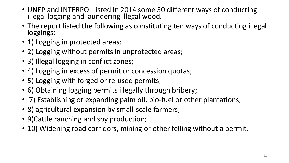- UNEP and INTERPOL listed in 2014 some 30 different ways of conducting illegal logging and laundering illegal wood.
- The report listed the following as constituting ten ways of conducting illegal loggings:
- 1) Logging in protected areas:
- 2) Logging without permits in unprotected areas;
- 3) Illegal logging in conflict zones;
- 4) Logging in excess of permit or concession quotas;
- 5) Logging with forged or re-used permits;
- 6) Obtaining logging permits illegally through bribery;
- 7) Establishing or expanding palm oil, bio-fuel or other plantations;
- 8) agricultural expansion by small-scale farmers;
- 9)Cattle ranching and soy production;
- 10) Widening road corridors, mining or other felling without a permit.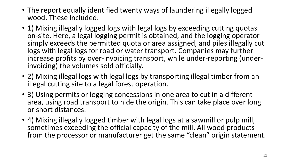- The report equally identified twenty ways of laundering illegally logged wood. These included:
- 1) Mixing illegally logged logs with legal logs by exceeding cutting quotas on-site. Here, a legal logging permit is obtained, and the logging operator simply exceeds the permitted quota or area assigned, and piles illegally cut logs with legal logs for road or water transport. Companies may further increase profits by over-invoicing transport, while under-reporting (underinvoicing) the volumes sold officially.
- 2) Mixing illegal logs with legal logs by transporting illegal timber from an illegal cutting site to a legal forest operation.
- 3) Using permits or logging concessions in one area to cut in a different area, using road transport to hide the origin. This can take place over long or short distances.
- 4) Mixing illegally logged timber with legal logs at a sawmill or pulp mill, sometimes exceeding the official capacity of the mill. All wood products from the processor or manufacturer get the same "clean" origin statement.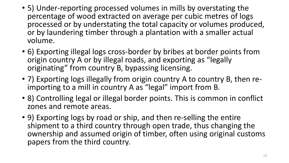- 5) Under-reporting processed volumes in mills by overstating the percentage of wood extracted on average per cubic metres of logs processed or by understating the total capacity or volumes produced, or by laundering timber through a plantation with a smaller actual volume.
- 6) Exporting illegal logs cross-border by bribes at border points from origin country A or by illegal roads, and exporting as "legally originating" from country B, bypassing licensing.
- 7) Exporting logs illegally from origin country A to country B, then reimporting to a mill in country A as "legal" import from B.
- 8) Controlling legal or illegal border points. This is common in conflict zones and remote areas.
- 9) Exporting logs by road or ship, and then re-selling the entire shipment to a third country through open trade, thus changing the ownership and assumed origin of timber, often using original customs papers from the third country.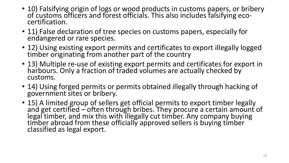- 10) Falsifying origin of logs or wood products in customs papers, or bribery of customs officers and forest officials. This also includes falsifying ecocertification.
- 11) False declaration of tree species on customs papers, especially for endangered or rare species.
- 12) Using existing export permits and certificates to export illegally logged timber originating from another part of the country
- 13) Multiple re-use of existing export permits and certificates for export in harbours. Only a fraction of traded volumes are actually checked by customs.
- 14) Using forged permits or permits obtained illegally through hacking of government sites or bribery.
- 15) A limited group of sellers get official permits to export timber legally and get certified – often through bribes. They procure a certain amount of legal timber, and mix this with illegally cut timber. Any company buying timber abroad from these officially approved sellers is buying timber classified as legal export.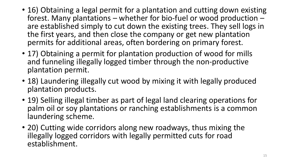- 16) Obtaining a legal permit for a plantation and cutting down existing forest. Many plantations – whether for bio-fuel or wood production – are established simply to cut down the existing trees. They sell logs in the first years, and then close the company or get new plantation permits for additional areas, often bordering on primary forest.
- 17) Obtaining a permit for plantation production of wood for mills and funneling illegally logged timber through the non-productive plantation permit.
- 18) Laundering illegally cut wood by mixing it with legally produced plantation products.
- 19) Selling illegal timber as part of legal land clearing operations for palm oil or soy plantations or ranching establishments is a common laundering scheme.
- 20) Cutting wide corridors along new roadways, thus mixing the illegally logged corridors with legally permitted cuts for road establishment.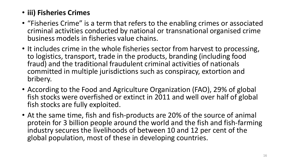#### • **iii) Fisheries Crimes**

- "Fisheries Crime" is a term that refers to the enabling crimes or associated criminal activities conducted by national or transnational organised crime business models in fisheries value chains.
- It includes crime in the whole fisheries sector from harvest to processing, to logistics, transport, trade in the products, branding (including food fraud) and the traditional fraudulent criminal activities of nationals committed in multiple jurisdictions such as conspiracy, extortion and bribery.
- According to the Food and Agriculture Organization (FAO), 29% of global fish stocks were overfished or extinct in 2011 and well over half of global fish stocks are fully exploited.
- At the same time, fish and fish-products are 20% of the source of animal protein for 3 billion people around the world and the fish and fish-farming industry secures the livelihoods of between 10 and 12 per cent of the global population, most of these in developing countries.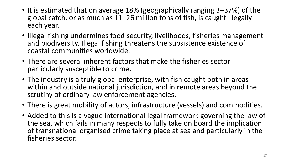- It is estimated that on average 18% (geographically ranging 3–37%) of the global catch, or as much as 11–26 million tons of fish, is caught illegally each year.
- Illegal fishing undermines food security, livelihoods, fisheries management and biodiversity. Illegal fishing threatens the subsistence existence of coastal communities worldwide.
- There are several inherent factors that make the fisheries sector particularly susceptible to crime.
- The industry is a truly global enterprise, with fish caught both in areas within and outside national jurisdiction, and in remote areas beyond the scrutiny of ordinary law enforcement agencies.
- There is great mobility of actors, infrastructure (vessels) and commodities.
- Added to this is a vague international legal framework governing the law of the sea, which fails in many respects to fully take on board the implication of transnational organised crime taking place at sea and particularly in the fisheries sector.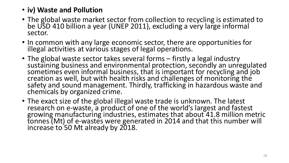#### • **iv) Waste and Pollution**

- The global waste market sector from collection to recycling is estimated to be USD 410 billion a year (UNEP 2011), excluding a very large informal sector.
- In common with any large economic sector, there are opportunities for illegal activities at various stages of legal operations.
- The global waste sector takes several forms firstly a legal industry sustaining business and environmental protection, secondly an unregulated sometimes even informal business, that is important for recycling and job creation as well, but with health risks and challenges of monitoring the safety and sound management. Thirdly, trafficking in hazardous waste and chemicals by organized crime.
- The exact size of the global illegal waste trade is unknown. The latest research on e-waste, a product of one of the world's largest and fastest growing manufacturing industries, estimates that about 41.8 million metric tonnes (Mt) of e-wastes were generated in 2014 and that this number will increase to 50 Mt already by 2018.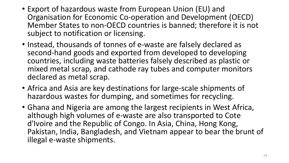- Export of hazardous waste from European Union (EU) and Organisation for Economic Co-operation and Development (OECD) Member States to non-OECD countries is banned; therefore it is not subject to notification or licensing.
- Instead, thousands of tonnes of e-waste are falsely declared as second-hand goods and exported from developed to developing countries, including waste batteries falsely described as plastic or mixed metal scrap, and cathode ray tubes and computer monitors declared as metal scrap.
- Africa and Asia are key destinations for large-scale shipments of hazardous wastes for dumping, and sometimes for recycling.
- Ghana and Nigeria are among the largest recipients in West Africa, although high volumes of e-waste are also transported to Cote d'Ivoire and the Republic of Congo. In Asia, China, Hong Kong, Pakistan, India, Bangladesh, and Vietnam appear to bear the brunt of illegal e-waste shipments.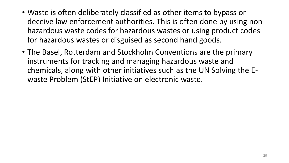- Waste is often deliberately classified as other items to bypass or deceive law enforcement authorities. This is often done by using nonhazardous waste codes for hazardous wastes or using product codes for hazardous wastes or disguised as second hand goods.
- The Basel, Rotterdam and Stockholm Conventions are the primary instruments for tracking and managing hazardous waste and chemicals, along with other initiatives such as the UN Solving the Ewaste Problem (StEP) Initiative on electronic waste.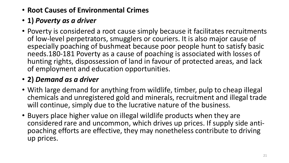- **Root Causes of Environmental Crimes**
- **1)** *Poverty as a driver*
- Poverty is considered a root cause simply because it facilitates recruitments of low-level perpetrators, smugglers or couriers. It is also major cause of especially poaching of bushmeat because poor people hunt to satisfy basic needs.180-181 Poverty as a cause of poaching is associated with losses of hunting rights, dispossession of land in favour of protected areas, and lack of employment and education opportunities.

# • **2)** *Demand as a driver*

- With large demand for anything from wildlife, timber, pulp to cheap illegal chemicals and unregistered gold and minerals, recruitment and illegal trade will continue, simply due to the lucrative nature of the business.
- Buyers place higher value on illegal wildlife products when they are considered rare and uncommon, which drives up prices. If supply side antipoaching efforts are effective, they may nonetheless contribute to driving up prices.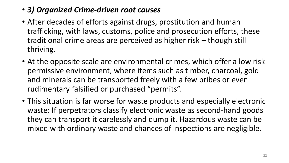## • *3) Organized Crime-driven root causes*

- After decades of efforts against drugs, prostitution and human trafficking, with laws, customs, police and prosecution efforts, these traditional crime areas are perceived as higher risk – though still thriving.
- At the opposite scale are environmental crimes, which offer a low risk permissive environment, where items such as timber, charcoal, gold and minerals can be transported freely with a few bribes or even rudimentary falsified or purchased "permits".
- This situation is far worse for waste products and especially electronic waste: If perpetrators classify electronic waste as second-hand goods they can transport it carelessly and dump it. Hazardous waste can be mixed with ordinary waste and chances of inspections are negligible.